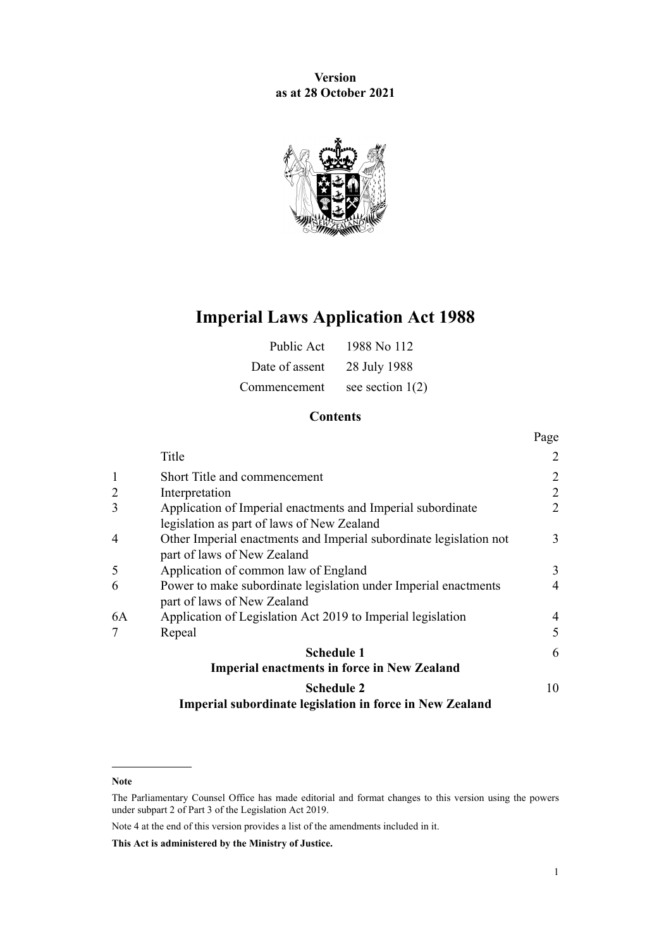**Version as at 28 October 2021**



# **Imperial Laws Application Act 1988**

| Public Act     | 1988 No 112        |
|----------------|--------------------|
| Date of assent | 28 July 1988       |
| Commencement   | see section $1(2)$ |

### **Contents**

|                |                                                                    | Page           |
|----------------|--------------------------------------------------------------------|----------------|
|                | Title                                                              | 2              |
|                | Short Title and commencement                                       | $\overline{2}$ |
| $\overline{c}$ | Interpretation                                                     | $\overline{2}$ |
| 3              | Application of Imperial enactments and Imperial subordinate        | $\overline{2}$ |
|                | legislation as part of laws of New Zealand                         |                |
| 4              | Other Imperial enactments and Imperial subordinate legislation not | 3              |
|                | part of laws of New Zealand                                        |                |
| 5              | Application of common law of England                               | 3              |
| 6              | Power to make subordinate legislation under Imperial enactments    | $\overline{4}$ |
|                | part of laws of New Zealand                                        |                |
| 6A             | Application of Legislation Act 2019 to Imperial legislation        | 4              |
| 7              | Repeal                                                             | 5              |
|                | <b>Schedule 1</b>                                                  | 6              |
|                | <b>Imperial enactments in force in New Zealand</b>                 |                |
|                | <b>Schedule 2</b>                                                  | 10             |
|                | Imperial subordinate legislation in force in New Zealand           |                |

**Note**

Note 4 at the end of this version provides a list of the amendments included in it.

**This Act is administered by the Ministry of Justice.**

The Parliamentary Counsel Office has made editorial and format changes to this version using the powers under [subpart 2](http://legislation.govt.nz/pdflink.aspx?id=DLM7298371) of Part 3 of the Legislation Act 2019.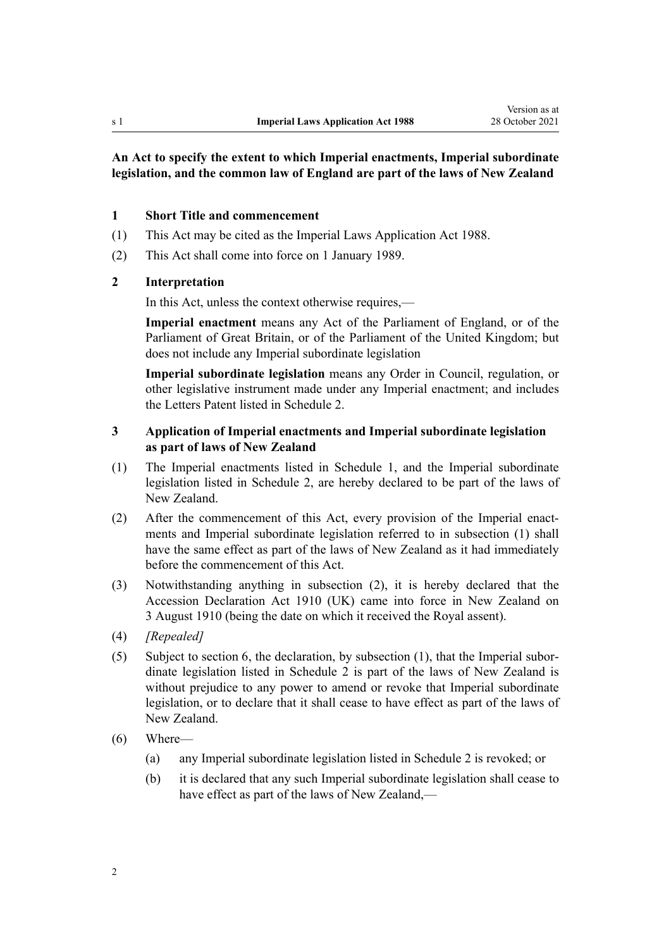### <span id="page-1-0"></span>**An Act to specify the extent to which Imperial enactments, Imperial subordinate legislation, and the common law of England are part of the laws of New Zealand**

#### **1 Short Title and commencement**

- (1) This Act may be cited as the Imperial Laws Application Act 1988.
- (2) This Act shall come into force on 1 January 1989.

### **2 Interpretation**

In this Act, unless the context otherwise requires,—

**Imperial enactment** means any Act of the Parliament of England, or of the Parliament of Great Britain, or of the Parliament of the United Kingdom; but does not include any Imperial subordinate legislation

**Imperial subordinate legislation** means any Order in Council, regulation, or other legislative instrument made under any Imperial enactment; and includes the Letters Patent listed in [Schedule 2.](#page-9-0)

### **3 Application of Imperial enactments and Imperial subordinate legislation as part of laws of New Zealand**

- (1) The Imperial enactments listed in [Schedule 1,](#page-5-0) and the Imperial subordinate legislation listed in [Schedule 2](#page-9-0), are hereby declared to be part of the laws of New Zealand.
- (2) After the commencement of this Act, every provision of the Imperial enactments and Imperial subordinate legislation referred to in subsection (1) shall have the same effect as part of the laws of New Zealand as it had immediately before the commencement of this Act.
- (3) Notwithstanding anything in subsection (2), it is hereby declared that the [Accession Declaration Act 1910](http://legislation.govt.nz/pdflink.aspx?id=DLM12649) (UK) came into force in New Zealand on 3 August 1910 (being the date on which it received the Royal assent).
- (4) *[Repealed]*
- (5) Subject to [section 6,](#page-3-0) the declaration, by subsection (1), that the Imperial subor‐ dinate legislation listed in [Schedule 2](#page-9-0) is part of the laws of New Zealand is without prejudice to any power to amend or revoke that Imperial subordinate legislation, or to declare that it shall cease to have effect as part of the laws of New Zealand.
- (6) Where—
	- (a) any Imperial subordinate legislation listed in [Schedule 2](#page-9-0) is revoked; or
	- (b) it is declared that any such Imperial subordinate legislation shall cease to have effect as part of the laws of New Zealand,—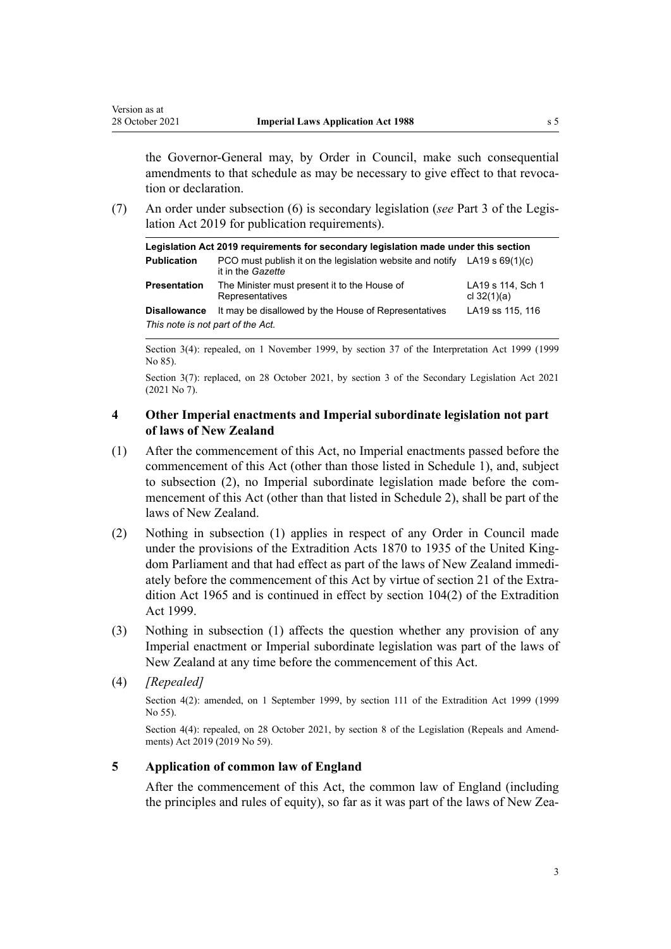<span id="page-2-0"></span>Version as at

the Governor-General may, by Order in Council, make such consequential amendments to that schedule as may be necessary to give effect to that revocation or declaration.

(7) An order under subsection (6) is secondary legislation (*see* [Part 3](http://legislation.govt.nz/pdflink.aspx?id=DLM7298343) of the Legis‐ lation Act 2019 for publication requirements).

| Legislation Act 2019 requirements for secondary legislation made under this section |                                                                                                  |                                    |  |  |
|-------------------------------------------------------------------------------------|--------------------------------------------------------------------------------------------------|------------------------------------|--|--|
| <b>Publication</b>                                                                  | PCO must publish it on the legislation website and notify LA19 s $69(1)(c)$<br>it in the Gazette |                                    |  |  |
| <b>Presentation</b>                                                                 | The Minister must present it to the House of<br>Representatives                                  | LA19 s 114, Sch 1<br>cl $32(1)(a)$ |  |  |
| <b>Disallowance</b>                                                                 | It may be disallowed by the House of Representatives                                             | LA19 ss 115, 116                   |  |  |
| This note is not part of the Act.                                                   |                                                                                                  |                                    |  |  |

Section 3(4): repealed, on 1 November 1999, by [section 37](http://legislation.govt.nz/pdflink.aspx?id=DLM31884) of the Interpretation Act 1999 (1999 No 85).

Section 3(7): replaced, on 28 October 2021, by [section 3](http://legislation.govt.nz/pdflink.aspx?id=LMS268932) of the Secondary Legislation Act 2021 (2021 No 7).

### **4 Other Imperial enactments and Imperial subordinate legislation not part of laws of New Zealand**

- (1) After the commencement of this Act, no Imperial enactments passed before the commencement of this Act (other than those listed in [Schedule 1\)](#page-5-0), and, subject to subsection (2), no Imperial subordinate legislation made before the commencement of this Act (other than that listed in [Schedule 2\)](#page-9-0), shall be part of the laws of New Zealand.
- (2) Nothing in subsection (1) applies in respect of any Order in Council made under the provisions of the Extradition Acts 1870 to 1935 of the United Kingdom Parliament and that had effect as part of the laws of New Zealand immedi‐ ately before the commencement of this Act by virtue of section 21 of the Extradition Act 1965 and is continued in effect by [section 104\(2\)](http://legislation.govt.nz/pdflink.aspx?id=DLM27321) of the Extradition Act 1999.
- (3) Nothing in subsection (1) affects the question whether any provision of any Imperial enactment or Imperial subordinate legislation was part of the laws of New Zealand at any time before the commencement of this Act.
- (4) *[Repealed]*

Section 4(2): amended, on 1 September 1999, by [section 111](http://legislation.govt.nz/pdflink.aspx?id=DLM27330) of the Extradition Act 1999 (1999 No 55).

Section 4(4): repealed, on 28 October 2021, by [section 8](http://legislation.govt.nz/pdflink.aspx?id=LMS265611) of the Legislation (Repeals and Amendments) Act 2019 (2019 No 59).

### **5 Application of common law of England**

After the commencement of this Act, the common law of England (including the principles and rules of equity), so far as it was part of the laws of New Zea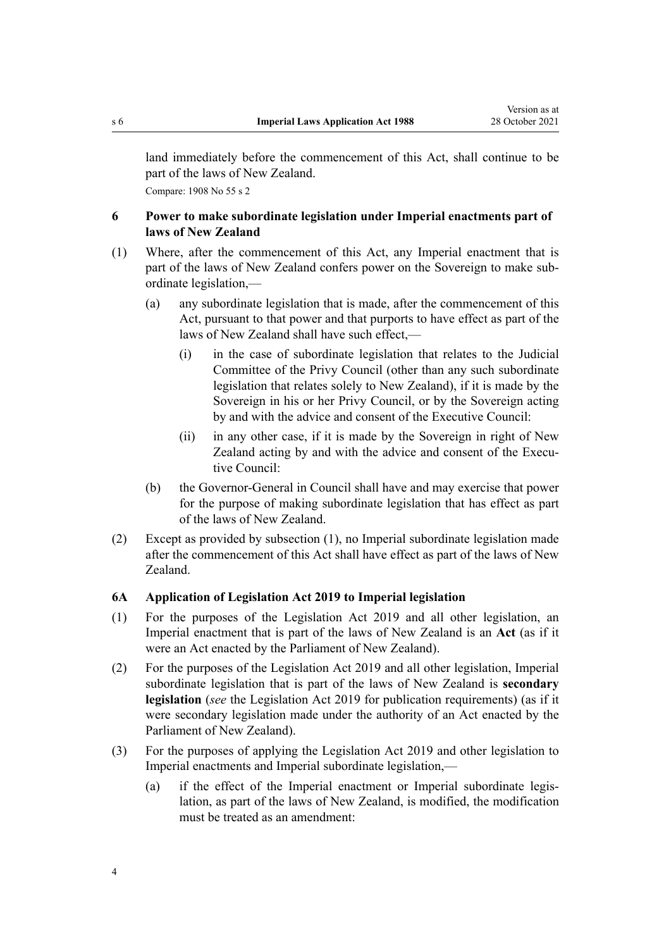<span id="page-3-0"></span>land immediately before the commencement of this Act, shall continue to be part of the laws of New Zealand. Compare: 1908 No 55 s 2

**6 Power to make subordinate legislation under Imperial enactments part of laws of New Zealand**

- (1) Where, after the commencement of this Act, any Imperial enactment that is part of the laws of New Zealand confers power on the Sovereign to make subordinate legislation,—
	- (a) any subordinate legislation that is made, after the commencement of this Act, pursuant to that power and that purports to have effect as part of the laws of New Zealand shall have such effect,—
		- (i) in the case of subordinate legislation that relates to the Judicial Committee of the Privy Council (other than any such subordinate legislation that relates solely to New Zealand), if it is made by the Sovereign in his or her Privy Council, or by the Sovereign acting by and with the advice and consent of the Executive Council:
		- (ii) in any other case, if it is made by the Sovereign in right of New Zealand acting by and with the advice and consent of the Executive Council:
	- (b) the Governor-General in Council shall have and may exercise that power for the purpose of making subordinate legislation that has effect as part of the laws of New Zealand.
- (2) Except as provided by subsection (1), no Imperial subordinate legislation made after the commencement of this Act shall have effect as part of the laws of New Zealand.

#### **6A Application of Legislation Act 2019 to Imperial legislation**

- (1) For the purposes of the [Legislation Act 2019](http://legislation.govt.nz/pdflink.aspx?id=DLM7298104) and all other legislation, an Imperial enactment that is part of the laws of New Zealand is an **Act** (as if it were an Act enacted by the Parliament of New Zealand).
- (2) For the purposes of the [Legislation Act 2019](http://legislation.govt.nz/pdflink.aspx?id=DLM7298104) and all other legislation, Imperial subordinate legislation that is part of the laws of New Zealand is **secondary legislation** (*see* the [Legislation Act 2019](http://legislation.govt.nz/pdflink.aspx?id=DLM7298104) for publication requirements) (as if it were secondary legislation made under the authority of an Act enacted by the Parliament of New Zealand).
- (3) For the purposes of applying the [Legislation Act 2019](http://legislation.govt.nz/pdflink.aspx?id=DLM7298104) and other legislation to Imperial enactments and Imperial subordinate legislation,—
	- (a) if the effect of the Imperial enactment or Imperial subordinate legis‐ lation, as part of the laws of New Zealand, is modified, the modification must be treated as an amendment: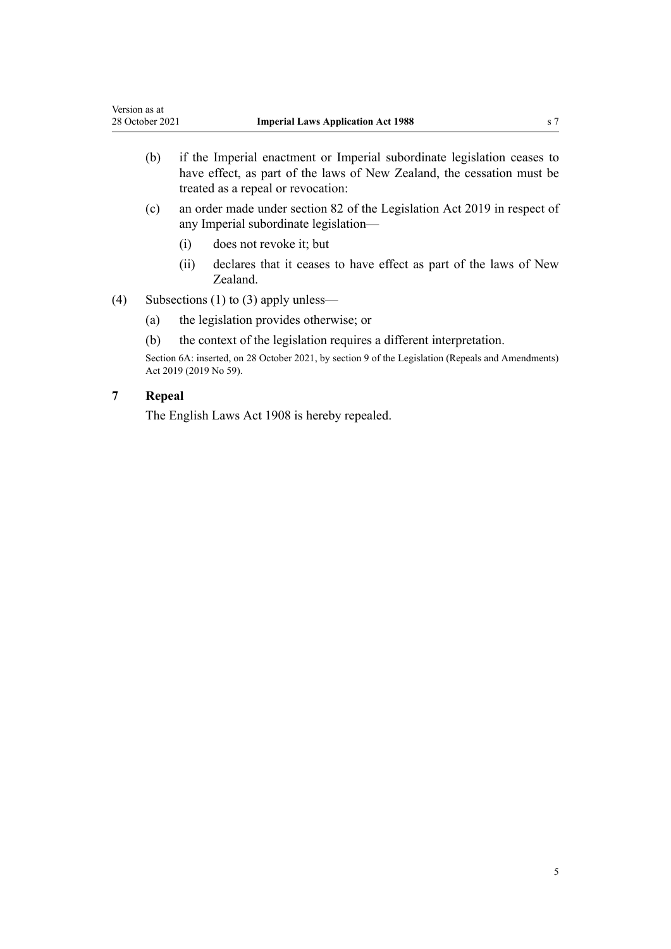- <span id="page-4-0"></span>(b) if the Imperial enactment or Imperial subordinate legislation ceases to have effect, as part of the laws of New Zealand, the cessation must be treated as a repeal or revocation:
- (c) an order made under [section 82](http://legislation.govt.nz/pdflink.aspx?id=DLM7298368) of the Legislation Act 2019 in respect of any Imperial subordinate legislation—
	- (i) does not revoke it; but
	- (ii) declares that it ceases to have effect as part of the laws of New Zealand.
- (4) Subsections (1) to (3) apply unless—
	- (a) the legislation provides otherwise; or
	- (b) the context of the legislation requires a different interpretation.

Section 6A: inserted, on 28 October 2021, by [section 9](http://legislation.govt.nz/pdflink.aspx?id=LMS265617) of the Legislation (Repeals and Amendments) Act 2019 (2019 No 59).

### **7 Repeal**

The English Laws Act 1908 is hereby repealed.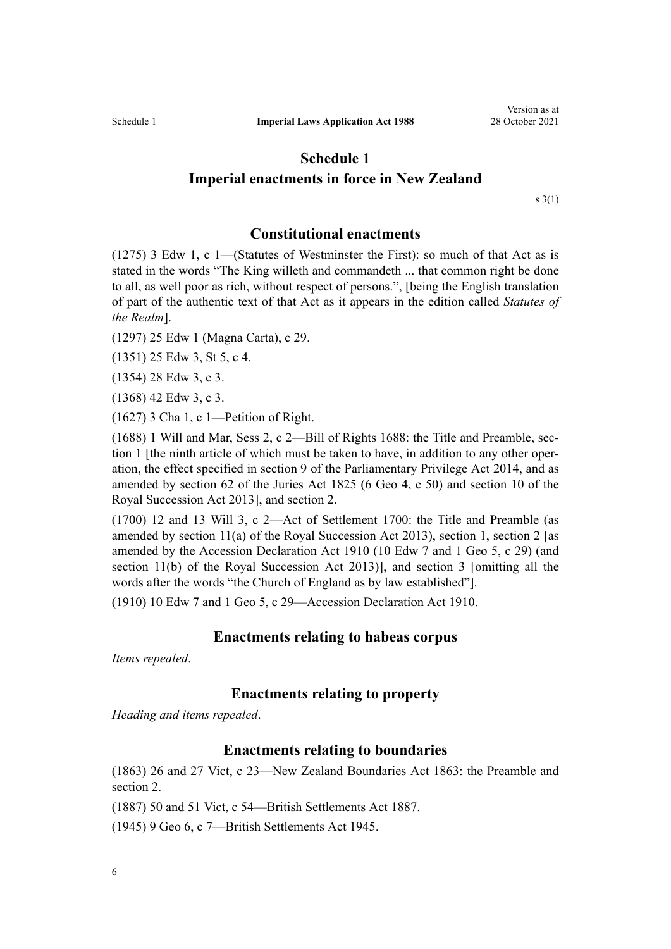# <span id="page-5-0"></span>**Schedule 1 Imperial enactments in force in New Zealand**

 $s \; 3(1)$ 

### **Constitutional enactments**

(1275) 3 Edw 1, c 1—(Statutes of Westminster the First): so much of that Act as is stated in the words "The King willeth and commandeth ... that common right be done to all, as well poor as rich, without respect of persons.", [being the English translation of part of the authentic text of that Act as it appears in the edition called *Statutes of the Realm*].

(1297) 25 Edw 1 (Magna Carta), c 29.

(1351) 25 Edw 3, St 5, c 4.

(1354) 28 Edw 3, c 3.

(1368) 42 Edw 3, c 3.

(1627) 3 Cha 1, c 1—Petition of Right.

(1688) 1 Will and Mar, Sess 2, c 2—[Bill of Rights 1688](http://legislation.govt.nz/pdflink.aspx?id=DLM10992): the Title and Preamble, [sec‐](http://legislation.govt.nz/pdflink.aspx?id=DLM11115) [tion 1](http://legislation.govt.nz/pdflink.aspx?id=DLM11115) [the ninth article of which must be taken to have, in addition to any other operation, the effect specified in [section 9](http://legislation.govt.nz/pdflink.aspx?id=DLM6136725) of the Parliamentary Privilege Act 2014, and as amended by section 62 of the Juries Act 1825 (6 Geo 4, c 50) and [section 10](http://legislation.govt.nz/pdflink.aspx?id=DLM5025822) of the Royal Succession Act 2013], and [section 2](http://legislation.govt.nz/pdflink.aspx?id=DLM11119).

(1700) 12 and 13 Will 3, c 2—[Act of Settlement 1700](http://legislation.govt.nz/pdflink.aspx?id=DLM11130): the Title and Preamble (as amended by [section 11\(a\)](http://legislation.govt.nz/pdflink.aspx?id=DLM5025823) of the Royal Succession Act 2013), [section 1,](http://legislation.govt.nz/pdflink.aspx?id=DLM11137) [section 2](http://legislation.govt.nz/pdflink.aspx?id=DLM11138) [as amended by the [Accession Declaration Act 1910](http://legislation.govt.nz/pdflink.aspx?id=DLM12649) (10 Edw 7 and 1 Geo 5, c 29) (and [section 11\(b\)](http://legislation.govt.nz/pdflink.aspx?id=DLM5025823) of the Royal Succession Act 2013)], and [section 3](http://legislation.govt.nz/pdflink.aspx?id=DLM11140) [omitting all the words after the words "the Church of England as by law established"].

(1910) 10 Edw 7 and 1 Geo 5, c 29[—Accession Declaration Act 1910](http://legislation.govt.nz/pdflink.aspx?id=DLM12649).

### **Enactments relating to habeas corpus**

*Items repealed*.

### **Enactments relating to property**

*Heading and items repealed*.

### **Enactments relating to boundaries**

(1863) 26 and 27 Vict, c 23—[New Zealand Boundaries Act 1863:](http://legislation.govt.nz/pdflink.aspx?id=DLM11888) the [Preamble](http://legislation.govt.nz/pdflink.aspx?id=DLM11892) and [section 2](http://legislation.govt.nz/pdflink.aspx?id=DLM11895).

(1887) 50 and 51 Vict, c 54—[British Settlements Act 1887](http://legislation.govt.nz/pdflink.aspx?id=DLM12382).

(1945) 9 Geo 6, c 7[—British Settlements Act 1945](http://legislation.govt.nz/pdflink.aspx?id=DLM12834).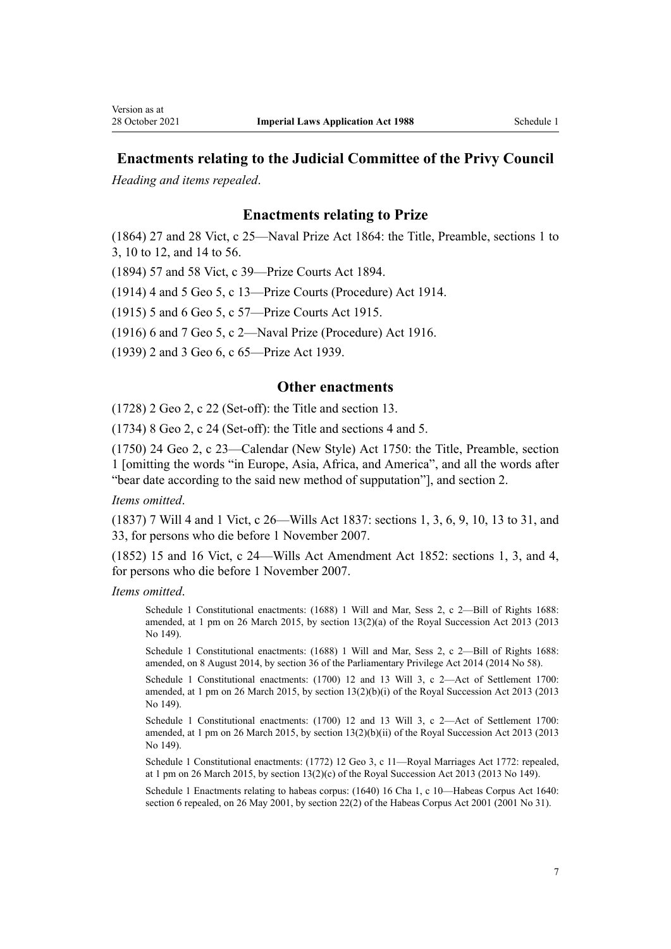## **Enactments relating to the Judicial Committee of the Privy Council**

*Heading and items repealed*.

### **Enactments relating to Prize**

(1864) 27 and 28 Vict, c 25[—Naval Prize Act 1864](http://legislation.govt.nz/pdflink.aspx?id=DLM11896): the Title, [Preamble](http://legislation.govt.nz/pdflink.aspx?id=DLM12200), [sections 1 to](http://legislation.govt.nz/pdflink.aspx?id=DLM12204) [3,](http://legislation.govt.nz/pdflink.aspx?id=DLM12204) [10 to 12](http://legislation.govt.nz/pdflink.aspx?id=DLM12243), and [14 to 56](http://legislation.govt.nz/pdflink.aspx?id=DLM12248).

(1894) 57 and 58 Vict, c 39—[Prize Courts Act 1894](http://legislation.govt.nz/pdflink.aspx?id=DLM12619).

(1914) 4 and 5 Geo 5, c 13—[Prize Courts \(Procedure\) Act 1914.](http://legislation.govt.nz/pdflink.aspx?id=DLM12669)

(1915) 5 and 6 Geo 5, c 57—[Prize Courts Act 1915.](http://legislation.govt.nz/pdflink.aspx?id=DLM12678)

(1916) 6 and 7 Geo 5, c 2[—Naval Prize \(Procedure\) Act 1916.](http://legislation.govt.nz/pdflink.aspx?id=DLM12698)

(1939) 2 and 3 Geo 6, c 65—[Prize Act 1939.](http://legislation.govt.nz/pdflink.aspx?id=DLM12815)

#### **Other enactments**

(1728) 2 Geo 2, c 22 (Set-off): the Title and section 13.

(1734) 8 Geo 2, c 24 (Set-off): the Title and sections 4 and 5.

(1750) 24 Geo 2, c 23—Calendar (New Style) Act 1750: the Title, Preamble, section 1 [omitting the words "in Europe, Asia, Africa, and America", and all the words after "bear date according to the said new method of supputation"], and [section 2](http://legislation.govt.nz/pdflink.aspx?id=DLM11199).

*Items omitted*.

(1837) 7 Will 4 and 1 Vict, c 26—Wills Act 1837: [sections 1](http://legislation.govt.nz/pdflink.aspx?id=DLM11566), [3,](http://legislation.govt.nz/pdflink.aspx?id=DLM11579) [6](http://legislation.govt.nz/pdflink.aspx?id=DLM11584), [9,](http://legislation.govt.nz/pdflink.aspx?id=DLM11588) [10](http://legislation.govt.nz/pdflink.aspx?id=DLM11589), [13 to 31,](http://legislation.govt.nz/pdflink.aspx?id=DLM11593) and [33,](http://legislation.govt.nz/pdflink.aspx?id=DLM11818) for persons who die before 1 November 2007.

(1852) 15 and 16 Vict, c 24—Wills Act Amendment Act 1852: [sections 1](http://legislation.govt.nz/pdflink.aspx?id=DLM11858), [3](http://legislation.govt.nz/pdflink.aspx?id=DLM11861), and [4](http://legislation.govt.nz/pdflink.aspx?id=DLM11865), for persons who die before 1 November 2007.

*Items omitted*.

Schedule 1 Constitutional enactments: (1688) 1 Will and Mar, Sess 2, c 2—Bill of Rights 1688: amended, at 1 pm on 26 March 2015, by [section 13\(2\)\(a\)](http://legislation.govt.nz/pdflink.aspx?id=DLM5025825) of the Royal Succession Act 2013 (2013 No 149).

Schedule 1 Constitutional enactments: (1688) 1 Will and Mar, Sess 2, c 2—Bill of Rights 1688: amended, on 8 August 2014, by [section 36](http://legislation.govt.nz/pdflink.aspx?id=DLM6217802) of the Parliamentary Privilege Act 2014 (2014 No 58).

Schedule 1 Constitutional enactments: (1700) 12 and 13 Will 3, c 2—Act of Settlement 1700: amended, at 1 pm on 26 March 2015, by [section 13\(2\)\(b\)\(i\)](http://legislation.govt.nz/pdflink.aspx?id=DLM5025825) of the Royal Succession Act 2013 (2013 No 149).

Schedule 1 Constitutional enactments: (1700) 12 and 13 Will 3, c 2—Act of Settlement 1700: amended, at 1 pm on 26 March 2015, by [section 13\(2\)\(b\)\(ii\)](http://legislation.govt.nz/pdflink.aspx?id=DLM5025825) of the Royal Succession Act 2013 (2013 No 149).

Schedule 1 Constitutional enactments: (1772) 12 Geo 3, c 11—Royal Marriages Act 1772: repealed, at 1 pm on 26 March 2015, by [section 13\(2\)\(c\)](http://legislation.govt.nz/pdflink.aspx?id=DLM5025825) of the Royal Succession Act 2013 (2013 No 149).

Schedule 1 Enactments relating to habeas corpus: (1640) 16 Cha 1, c 10—Habeas Corpus Act 1640: section 6 repealed, on 26 May 2001, by [section 22\(2\)](http://legislation.govt.nz/pdflink.aspx?id=DLM92209) of the Habeas Corpus Act 2001 (2001 No 31).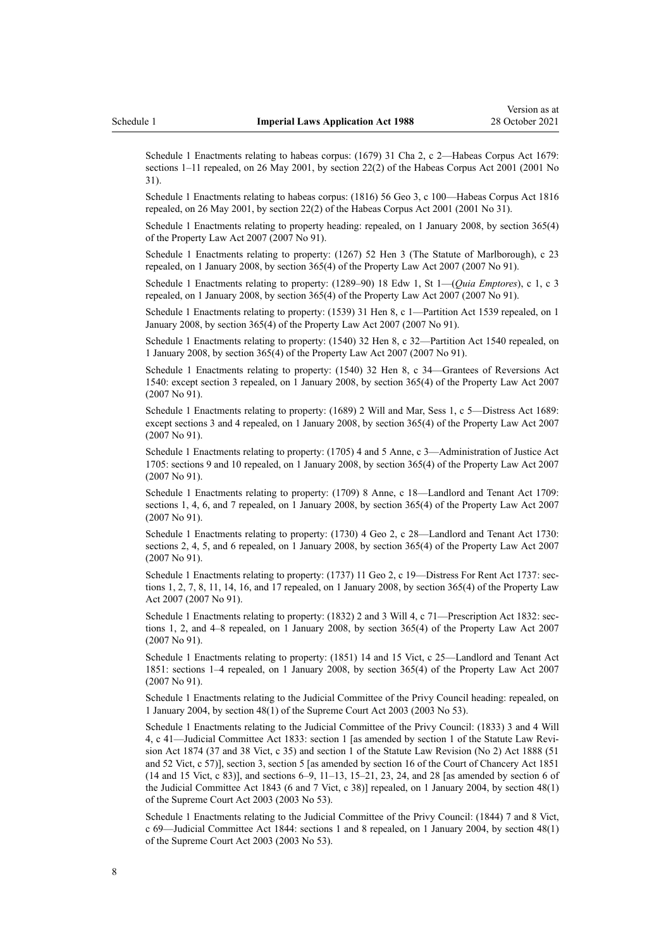Schedule 1 Enactments relating to habeas corpus: (1679) 31 Cha 2, c 2—Habeas Corpus Act 1679: sections 1–11 repealed, on 26 May 2001, by [section 22\(2\)](http://legislation.govt.nz/pdflink.aspx?id=DLM92209) of the Habeas Corpus Act 2001 (2001 No 31).

Schedule 1 Enactments relating to habeas corpus: (1816) 56 Geo 3, c 100—Habeas Corpus Act 1816 repealed, on 26 May 2001, by [section 22\(2\)](http://legislation.govt.nz/pdflink.aspx?id=DLM92209) of the Habeas Corpus Act 2001 (2001 No 31).

Schedule 1 Enactments relating to property heading: repealed, on 1 January 2008, by [section 365\(4\)](http://legislation.govt.nz/pdflink.aspx?id=DLM969645) of the Property Law Act 2007 (2007 No 91).

Schedule 1 Enactments relating to property: (1267) 52 Hen 3 [\(The Statute of Marlborough\)](http://legislation.govt.nz/pdflink.aspx?id=DLM10900), c 23 repealed, on 1 January 2008, by [section 365\(4\)](http://legislation.govt.nz/pdflink.aspx?id=DLM969645) of the Property Law Act 2007 (2007 No 91).

Schedule 1 Enactments relating to property: (1289–90) 18 Edw 1, St 1—(*[Quia Emptores](http://legislation.govt.nz/pdflink.aspx?id=DLM10911)*), c 1, c 3 repealed, on 1 January 2008, by [section 365\(4\)](http://legislation.govt.nz/pdflink.aspx?id=DLM969645) of the Property Law Act 2007 (2007 No 91).

Schedule 1 Enactments relating to property: (1539) 31 Hen 8, c 1—[Partition Act 1539](http://legislation.govt.nz/pdflink.aspx?id=DLM10947) repealed, on 1 January 2008, by [section 365\(4\)](http://legislation.govt.nz/pdflink.aspx?id=DLM969645) of the Property Law Act 2007 (2007 No 91).

Schedule 1 Enactments relating to property: (1540) 32 Hen 8, c 32—[Partition Act 1540](http://legislation.govt.nz/pdflink.aspx?id=DLM10956) repealed, on 1 January 2008, by [section 365\(4\)](http://legislation.govt.nz/pdflink.aspx?id=DLM969645) of the Property Law Act 2007 (2007 No 91).

Schedule 1 Enactments relating to property: (1540) 32 Hen 8, c 34—[Grantees of Reversions Act](http://legislation.govt.nz/pdflink.aspx?id=DLM10966) [1540](http://legislation.govt.nz/pdflink.aspx?id=DLM10966): except section 3 repealed, on 1 January 2008, by [section 365\(4\)](http://legislation.govt.nz/pdflink.aspx?id=DLM969645) of the Property Law Act 2007 (2007 No 91).

Schedule 1 Enactments relating to property: (1689) 2 Will and Mar, Sess 1, c 5[—Distress Act 1689:](http://legislation.govt.nz/pdflink.aspx?id=DLM11120) except sections 3 and 4 repealed, on 1 January 2008, by [section 365\(4\)](http://legislation.govt.nz/pdflink.aspx?id=DLM969645) of the Property Law Act 2007 (2007 No 91).

Schedule 1 Enactments relating to property: (1705) 4 and 5 Anne, c 3—[Administration of Justice Act](http://legislation.govt.nz/pdflink.aspx?id=DLM11141) [1705](http://legislation.govt.nz/pdflink.aspx?id=DLM11141): sections 9 and 10 repealed, on 1 January 2008, by [section 365\(4\)](http://legislation.govt.nz/pdflink.aspx?id=DLM969645) of the Property Law Act 2007 (2007 No 91).

Schedule 1 Enactments relating to property: (1709) 8 Anne, c 18—[Landlord and Tenant Act 1709:](http://legislation.govt.nz/pdflink.aspx?id=DLM11147) sections 1, 4, 6, and 7 repealed, on 1 January 2008, by [section 365\(4\)](http://legislation.govt.nz/pdflink.aspx?id=DLM969645) of the Property Law Act 2007 (2007 No 91).

Schedule 1 Enactments relating to property: (1730) 4 Geo 2, c 28—[Landlord and Tenant Act 1730:](http://legislation.govt.nz/pdflink.aspx?id=DLM11162) sections 2, 4, 5, and 6 repealed, on 1 January 2008, by [section 365\(4\)](http://legislation.govt.nz/pdflink.aspx?id=DLM969645) of the Property Law Act 2007 (2007 No 91).

Schedule 1 Enactments relating to property: (1737) 11 Geo 2, c 19[—Distress For Rent Act 1737:](http://legislation.govt.nz/pdflink.aspx?id=DLM11178) sections 1, 2, 7, 8, 11, 14, 16, and 17 repealed, on 1 January 2008, by [section 365\(4\)](http://legislation.govt.nz/pdflink.aspx?id=DLM969645) of the Property Law Act 2007 (2007 No 91).

Schedule 1 Enactments relating to property: (1832) 2 and 3 Will 4, c 71[—Prescription Act 1832:](http://legislation.govt.nz/pdflink.aspx?id=DLM11521) sections 1, 2, and 4–8 repealed, on 1 January 2008, by [section 365\(4\)](http://legislation.govt.nz/pdflink.aspx?id=DLM969645) of the Property Law Act 2007 (2007 No 91).

Schedule 1 Enactments relating to property: (1851) 14 and 15 Vict, c 25[—Landlord and Tenant Act](http://legislation.govt.nz/pdflink.aspx?id=DLM11837) [1851](http://legislation.govt.nz/pdflink.aspx?id=DLM11837): sections 1–4 repealed, on 1 January 2008, by [section 365\(4\)](http://legislation.govt.nz/pdflink.aspx?id=DLM969645) of the Property Law Act 2007 (2007 No 91).

Schedule 1 Enactments relating to the Judicial Committee of the Privy Council heading: repealed, on 1 January 2004, by [section 48\(1\)](http://legislation.govt.nz/pdflink.aspx?id=DLM214522) of the Supreme Court Act 2003 (2003 No 53).

Schedule 1 Enactments relating to the Judicial Committee of the Privy Council: (1833) 3 and 4 Will 4, c 41[—Judicial Committee Act 1833](http://legislation.govt.nz/pdflink.aspx?id=DLM11533): section 1 [as amended by section 1 of the Statute Law Revi‐ sion Act 1874 (37 and 38 Vict, c 35) and section 1 of the Statute Law Revision (No 2) Act 1888 (51 and 52 Vict, c 57)], section 3, section 5 [as amended by section 16 of the Court of Chancery Act 1851  $(14 \text{ and } 15 \text{ Vict}, c \text{ } 83)$ ], and sections  $6-9$ ,  $11-13$ ,  $15-21$ ,  $23$ ,  $24$ , and  $28$  [as amended by section 6 of the Judicial Committee Act 1843 (6 and 7 Vict, c 38)] repealed, on 1 January 2004, by [section 48\(1\)](http://legislation.govt.nz/pdflink.aspx?id=DLM214522) of the Supreme Court Act 2003 (2003 No 53).

Schedule 1 Enactments relating to the Judicial Committee of the Privy Council: (1844) 7 and 8 Vict, c 69—[Judicial Committee Act 1844](http://legislation.govt.nz/pdflink.aspx?id=DLM11831): sections 1 and 8 repealed, on 1 January 2004, by [section 48\(1\)](http://legislation.govt.nz/pdflink.aspx?id=DLM214522) of the Supreme Court Act 2003 (2003 No 53).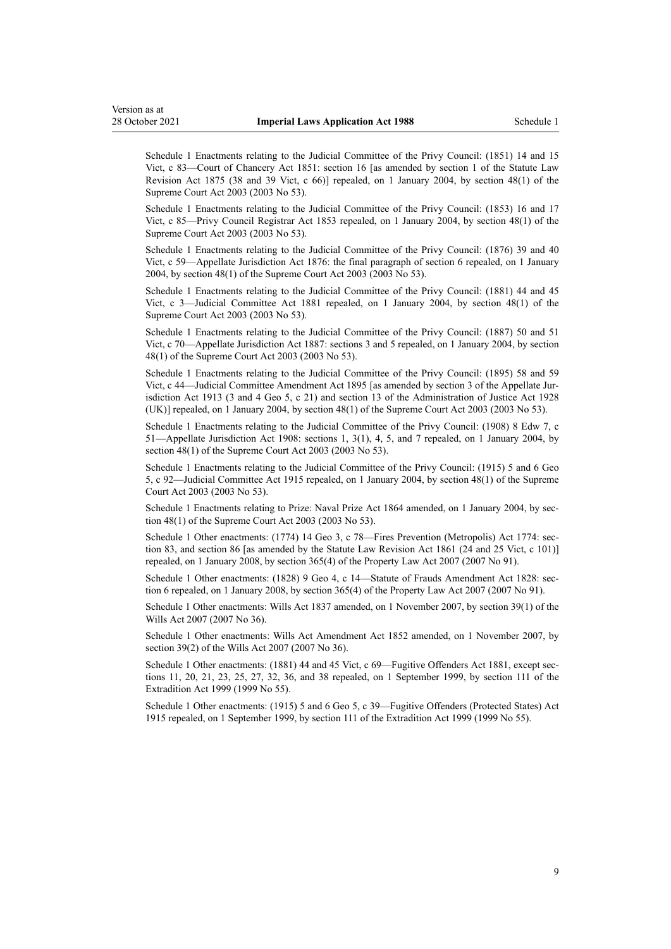Schedule 1 Enactments relating to the Judicial Committee of the Privy Council: (1851) 14 and 15 Vict, c 83—[Court of Chancery Act 1851:](http://legislation.govt.nz/pdflink.aspx?id=DLM11846) section 16 [as amended by section 1 of the Statute Law Revision Act 1875 (38 and 39 Vict, c 66)] repealed, on 1 January 2004, by [section 48\(1\)](http://legislation.govt.nz/pdflink.aspx?id=DLM214522) of the Supreme Court Act 2003 (2003 No 53).

Schedule 1 Enactments relating to the Judicial Committee of the Privy Council: (1853) 16 and 17 Vict, c 85—[Privy Council Registrar Act 1853](http://legislation.govt.nz/pdflink.aspx?id=DLM11866) repealed, on 1 January 2004, by [section 48\(1\)](http://legislation.govt.nz/pdflink.aspx?id=DLM214522) of the Supreme Court Act 2003 (2003 No 53).

Schedule 1 Enactments relating to the Judicial Committee of the Privy Council: (1876) 39 and 40 Vict, c 59[—Appellate Jurisdiction Act 1876](http://legislation.govt.nz/pdflink.aspx?id=DLM12368): the final paragraph of section 6 repealed, on 1 January 2004, by [section 48\(1\)](http://legislation.govt.nz/pdflink.aspx?id=DLM214522) of the Supreme Court Act 2003 (2003 No 53).

Schedule 1 Enactments relating to the Judicial Committee of the Privy Council: (1881) 44 and 45 Vict, c 3—[Judicial Committee Act 1881](http://legislation.govt.nz/pdflink.aspx?id=DLM12373) repealed, on 1 January 2004, by [section 48\(1\)](http://legislation.govt.nz/pdflink.aspx?id=DLM214522) of the Supreme Court Act 2003 (2003 No 53).

Schedule 1 Enactments relating to the Judicial Committee of the Privy Council: (1887) 50 and 51 Vict, c 70[—Appellate Jurisdiction Act 1887](http://legislation.govt.nz/pdflink.aspx?id=DLM12398): sections 3 and 5 repealed, on 1 January 2004, by [section](http://legislation.govt.nz/pdflink.aspx?id=DLM214522) [48\(1\)](http://legislation.govt.nz/pdflink.aspx?id=DLM214522) of the Supreme Court Act 2003 (2003 No 53).

Schedule 1 Enactments relating to the Judicial Committee of the Privy Council: (1895) 58 and 59 Vict, c 44[—Judicial Committee Amendment Act 1895](http://legislation.govt.nz/pdflink.aspx?id=DLM12629) [as amended by section 3 of the Appellate Jur‐ isdiction Act 1913 (3 and 4 Geo 5, c 21) and section 13 of the Administration of Justice Act 1928 (UK)] repealed, on 1 January 2004, by [section 48\(1\)](http://legislation.govt.nz/pdflink.aspx?id=DLM214522) of the Supreme Court Act 2003 (2003 No 53).

Schedule 1 Enactments relating to the Judicial Committee of the Privy Council: (1908) 8 Edw 7, c 51[—Appellate Jurisdiction Act 1908:](http://legislation.govt.nz/pdflink.aspx?id=DLM12639) sections 1, 3(1), 4, 5, and 7 repealed, on 1 January 2004, by [section 48\(1\)](http://legislation.govt.nz/pdflink.aspx?id=DLM214522) of the Supreme Court Act 2003 (2003 No 53).

Schedule 1 Enactments relating to the Judicial Committee of the Privy Council: (1915) 5 and 6 Geo 5, c 92—[Judicial Committee Act 1915](http://legislation.govt.nz/pdflink.aspx?id=DLM12691) repealed, on 1 January 2004, by [section 48\(1\)](http://legislation.govt.nz/pdflink.aspx?id=DLM214522) of the Supreme Court Act 2003 (2003 No 53).

Schedule 1 Enactments relating to Prize: Naval Prize Act 1864 amended, on 1 January 2004, by sec[tion 48\(1\)](http://legislation.govt.nz/pdflink.aspx?id=DLM214522) of the Supreme Court Act 2003 (2003 No 53).

Schedule 1 Other enactments: (1774) 14 Geo 3, c 78—[Fires Prevention \(Metropolis\) Act 1774](http://legislation.govt.nz/pdflink.aspx?id=DLM11509): section 83, and section 86 [as amended by the Statute Law Revision Act 1861 (24 and 25 Vict, c 101)] repealed, on 1 January 2008, by [section 365\(4\)](http://legislation.govt.nz/pdflink.aspx?id=DLM969645) of the Property Law Act 2007 (2007 No 91).

Schedule 1 Other enactments: (1828) 9 Geo 4, c 14—[Statute of Frauds Amendment Act 1828](http://legislation.govt.nz/pdflink.aspx?id=DLM11515): section 6 repealed, on 1 January 2008, by [section 365\(4\)](http://legislation.govt.nz/pdflink.aspx?id=DLM969645) of the Property Law Act 2007 (2007 No 91).

Schedule 1 Other enactments: Wills Act 1837 amended, on 1 November 2007, by [section 39\(1\)](http://legislation.govt.nz/pdflink.aspx?id=DLM413567) of the Wills Act 2007 (2007 No 36).

Schedule 1 Other enactments: Wills Act Amendment Act 1852 amended, on 1 November 2007, by [section 39\(2\)](http://legislation.govt.nz/pdflink.aspx?id=DLM413567) of the Wills Act 2007 (2007 No 36).

Schedule 1 Other enactments: (1881) 44 and 45 Vict, c 69—Fugitive Offenders Act 1881, except sections 11, 20, 21, 23, 25, 27, 32, 36, and 38 repealed, on 1 September 1999, by [section 111](http://legislation.govt.nz/pdflink.aspx?id=DLM27330) of the Extradition Act 1999 (1999 No 55).

Schedule 1 Other enactments: (1915) 5 and 6 Geo 5, c 39—Fugitive Offenders (Protected States) Act 1915 repealed, on 1 September 1999, by [section 111](http://legislation.govt.nz/pdflink.aspx?id=DLM27330) of the Extradition Act 1999 (1999 No 55).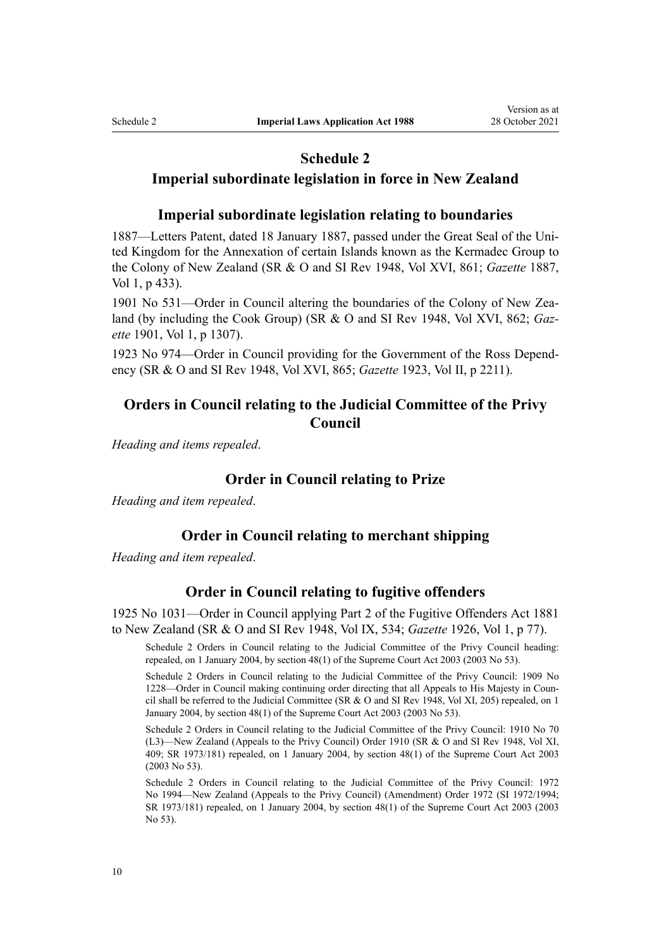### **Schedule 2**

### <span id="page-9-0"></span>**Imperial subordinate legislation in force in New Zealand**

### **Imperial subordinate legislation relating to boundaries**

1887—Letters Patent, dated 18 January 1887, passed under the Great Seal of the Uni‐ ted Kingdom for the Annexation of certain Islands known as the Kermadec Group to the Colony of New Zealand (SR & O and SI Rev 1948, Vol XVI, 861; *Gazette* 1887, Vol 1, p 433).

1901 No 531—Order in Council altering the boundaries of the Colony of New Zea‐ land (by including the Cook Group) (SR & O and SI Rev 1948, Vol XVI, 862; *Gaz‐ ette* 1901, Vol 1, p 1307).

1923 No 974—Order in Council providing for the Government of the Ross Depend‐ ency (SR & O and SI Rev 1948, Vol XVI, 865; *Gazette* 1923, Vol II, p 2211).

### **Orders in Council relating to the Judicial Committee of the Privy Council**

*Heading and items repealed*.

### **Order in Council relating to Prize**

*Heading and item repealed*.

### **Order in Council relating to merchant shipping**

*Heading and item repealed*.

### **Order in Council relating to fugitive offenders**

1925 No 1031—Order in Council applying Part 2 of the Fugitive Offenders Act 1881 to New Zealand (SR & O and SI Rev 1948, Vol IX, 534; *Gazette* 1926, Vol 1, p 77).

Schedule 2 Orders in Council relating to the Judicial Committee of the Privy Council heading: repealed, on 1 January 2004, by [section 48\(1\)](http://legislation.govt.nz/pdflink.aspx?id=DLM214522) of the Supreme Court Act 2003 (2003 No 53).

Schedule 2 Orders in Council relating to the Judicial Committee of the Privy Council: 1909 No 1228—Order in Council making continuing order directing that all Appeals to His Majesty in Coun‐ cil shall be referred to the Judicial Committee (SR & O and SI Rev 1948, Vol XI, 205) repealed, on 1 January 2004, by [section 48\(1\)](http://legislation.govt.nz/pdflink.aspx?id=DLM214522) of the Supreme Court Act 2003 (2003 No 53).

Schedule 2 Orders in Council relating to the Judicial Committee of the Privy Council: 1910 No 70 (L3)—New Zealand (Appeals to the Privy Council) Order 1910 (SR & O and SI Rev 1948, Vol XI, 409; SR 1973/181) repealed, on 1 January 2004, by [section 48\(1\)](http://legislation.govt.nz/pdflink.aspx?id=DLM214522) of the Supreme Court Act 2003 (2003 No 53).

Schedule 2 Orders in Council relating to the Judicial Committee of the Privy Council: 1972 No 1994—New Zealand (Appeals to the Privy Council) (Amendment) Order 1972 (SI 1972/1994; SR 1973/181) repealed, on 1 January 2004, by [section 48\(1\)](http://legislation.govt.nz/pdflink.aspx?id=DLM214522) of the Supreme Court Act 2003 (2003 No 53).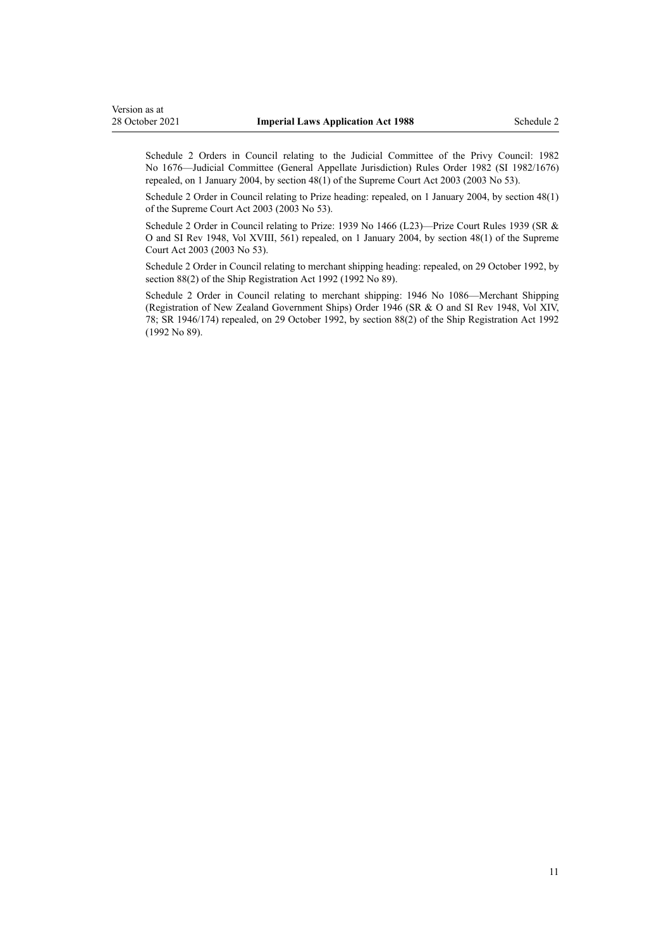Schedule 2 Orders in Council relating to the Judicial Committee of the Privy Council: 1982 No 1676—Judicial Committee (General Appellate Jurisdiction) Rules Order 1982 (SI 1982/1676) repealed, on 1 January 2004, by [section 48\(1\)](http://legislation.govt.nz/pdflink.aspx?id=DLM214522) of the Supreme Court Act 2003 (2003 No 53).

Schedule 2 Order in Council relating to Prize heading: repealed, on 1 January 2004, by [section 48\(1\)](http://legislation.govt.nz/pdflink.aspx?id=DLM214522) of the Supreme Court Act 2003 (2003 No 53).

Schedule 2 Order in Council relating to Prize: 1939 No 1466 (L23)—Prize Court Rules 1939 (SR & O and SI Rev 1948, Vol XVIII, 561) repealed, on 1 January 2004, by [section 48\(1\)](http://legislation.govt.nz/pdflink.aspx?id=DLM214522) of the Supreme Court Act 2003 (2003 No 53).

Schedule 2 Order in Council relating to merchant shipping heading: repealed, on 29 October 1992, by [section 88\(2\)](http://legislation.govt.nz/pdflink.aspx?id=DLM276674) of the Ship Registration Act 1992 (1992 No 89).

Schedule 2 Order in Council relating to merchant shipping: 1946 No 1086—Merchant Shipping (Registration of New Zealand Government Ships) Order 1946 (SR & O and SI Rev 1948, Vol XIV, 78; SR 1946/174) repealed, on 29 October 1992, by [section 88\(2\)](http://legislation.govt.nz/pdflink.aspx?id=DLM276674) of the Ship Registration Act 1992 (1992 No 89).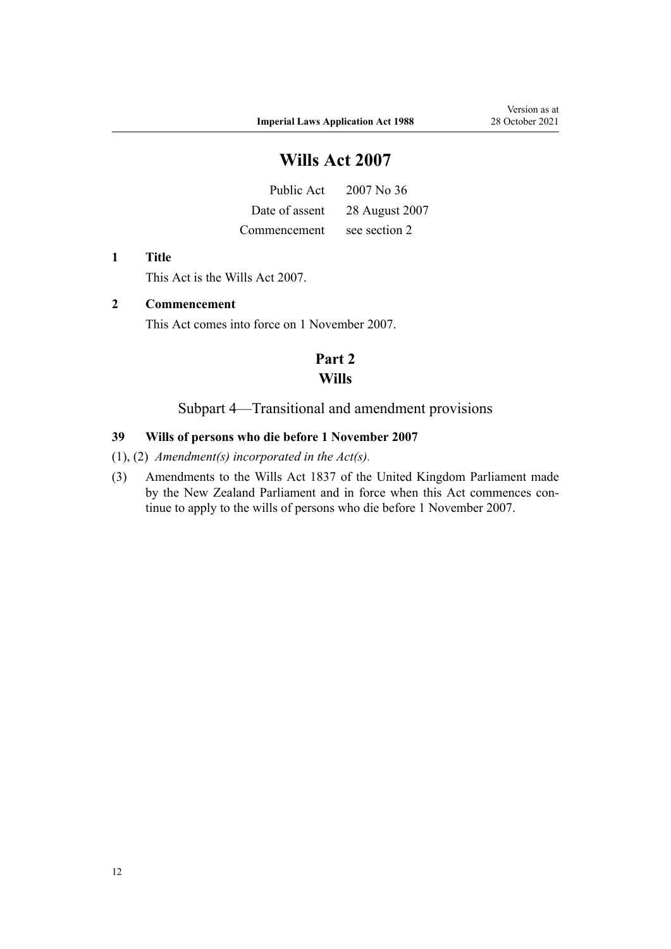# **Wills Act 2007**

|              | Public Act $2007$ No 36       |
|--------------|-------------------------------|
|              | Date of assent 28 August 2007 |
| Commencement | see section 2                 |

#### **1 Title**

This Act is the [Wills Act 2007](http://legislation.govt.nz/pdflink.aspx?id=DLM413272).

### **2 Commencement**

This Act comes into force on 1 November 2007.

# **Part 2 Wills**

### Subpart 4—Transitional and amendment provisions

#### **39 Wills of persons who die before 1 November 2007**

(1), (2) *Amendment(s) incorporated in the Act(s).*

(3) Amendments to the Wills Act 1837 of the United Kingdom Parliament made by the New Zealand Parliament and in force when this Act commences continue to apply to the wills of persons who die before 1 November 2007.